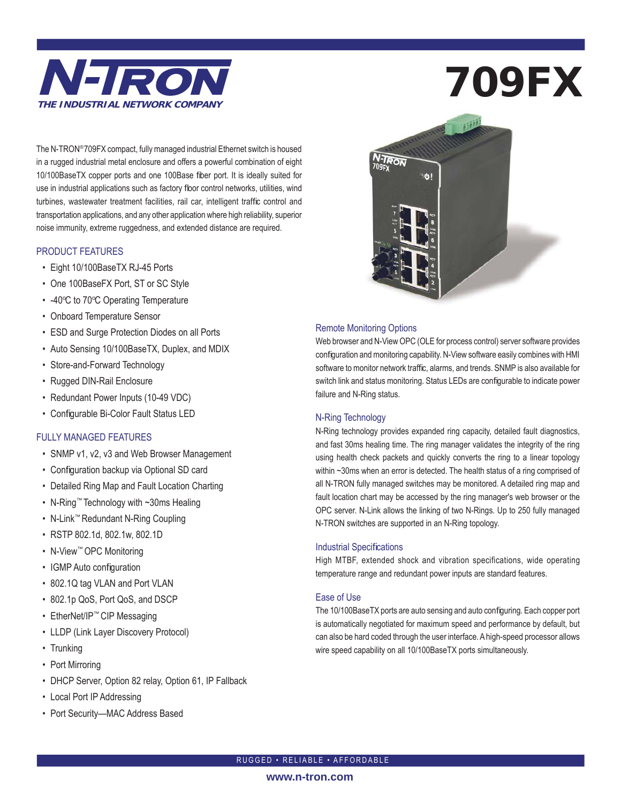

The N-TRON® 709FX compact, fully managed industrial Ethernet switch is housed in a rugged industrial metal enclosure and offers a powerful combination of eight 10/100BaseTX copper ports and one 100Base fiber port. It is ideally suited for use in industrial applications such as factory floor control networks, utilities, wind turbines, wastewater treatment facilities, rail car, intelligent traffic control and transportation applications, and any other application where high reliability, superior noise immunity, extreme ruggedness, and extended distance are required.

#### PRODUCT FEATURES

- Eight 10/100BaseTX RJ-45 Ports
- One 100BaseFX Port, ST or SC Style
- -40°C to 70°C Operating Temperature
- Onboard Temperature Sensor
- ESD and Surge Protection Diodes on all Ports
- Auto Sensing 10/100BaseTX, Duplex, and MDIX
- Store-and-Forward Technology
- Rugged DIN-Rail Enclosure
- Redundant Power Inputs (10-49 VDC)
- Configurable Bi-Color Fault Status LED

#### FULLY MANAGED FEATURES

- SNMP v1, v2, v3 and Web Browser Management
- Configuration backup via Optional SD card
- Detailed Ring Map and Fault Location Charting
- N-Ring™ Technology with ~30ms Healing
- N-Link™ Redundant N-Ring Coupling
- RSTP 802.1d, 802.1w, 802.1D
- N-View™ OPC Monitoring
- IGMP Auto configuration
- 802.1Q tag VLAN and Port VLAN
- 802.1p QoS, Port QoS, and DSCP
- EtherNet/IP™ CIP Messaging
- LLDP (Link Layer Discovery Protocol)
- Trunking
- Port Mirroring
- DHCP Server, Option 82 relay, Option 61, IP Fallback
- Local Port IP Addressing
- Port Security—MAC Address Based

# 709FX



#### Remote Monitoring Options

Web browser and N-View OPC (OLE for process control) server software provides configuration and monitoring capability. N-View software easily combines with HMI software to monitor network traffic, alarms, and trends. SNMP is also available for switch link and status monitoring. Status LEDs are configurable to indicate power failure and N-Ring status.

#### N-Ring Technology

N-Ring technology provides expanded ring capacity, detailed fault diagnostics, and fast 30ms healing time. The ring manager validates the integrity of the ring using health check packets and quickly converts the ring to a linear topology within ~30ms when an error is detected. The health status of a ring comprised of all N-TRON fully managed switches may be monitored. A detailed ring map and fault location chart may be accessed by the ring manager's web browser or the OPC server. N-Link allows the linking of two N-Rings. Up to 250 fully managed N-TRON switches are supported in an N-Ring topology.

#### **Industrial Specifications**

High MTBF, extended shock and vibration specifications, wide operating temperature range and redundant power inputs are standard features.

#### Ease of Use

The 10/100BaseTX ports are auto sensing and auto configuring. Each copper port is automatically negotiated for maximum speed and performance by default, but can also be hard coded through the user interface. A high-speed processor allows wire speed capability on all 10/100BaseTX ports simultaneously.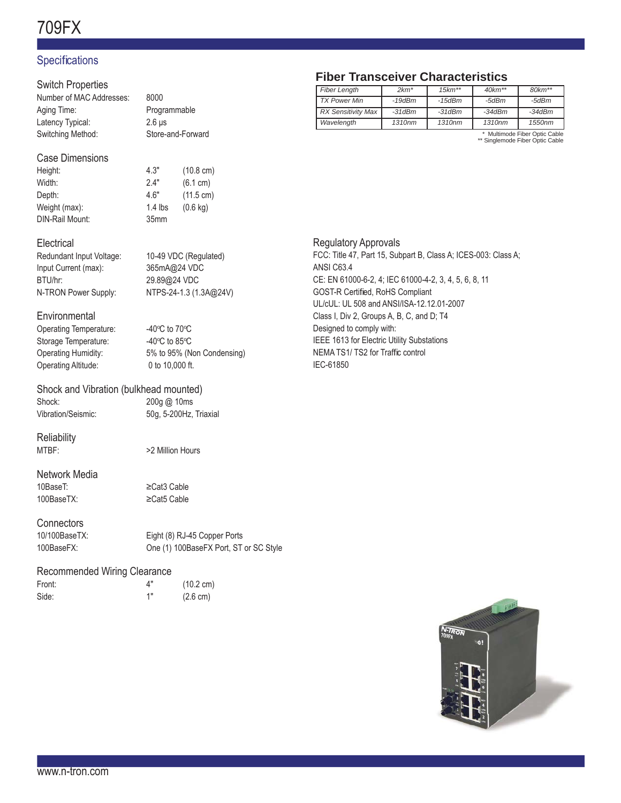# 709FX

## **Specifications**

#### Switch Properties

| 8000              |
|-------------------|
| Programmable      |
| $2.6$ us          |
| Store-and-Forward |
|                   |

#### Case Dimensions

| Height:         | 4.3"      | $(10.8 \text{ cm})$ |
|-----------------|-----------|---------------------|
| Width:          | 24"       | (6.1 cm)            |
| Depth:          | 4.6"      | $(11.5 \text{ cm})$ |
| Weight (max):   | $1.4$ lbs | $(0.6 \text{ kg})$  |
| DIN-Rail Mount: | 35mm      |                     |

#### **Electrical**

#### Redundant Input Voltage: 10-49 VDC (Regulated) Input Current (max): 365mA@24 VDC BTU/hr: 29.89@24 VDC N-TRON Power Supply: NTPS-24-1.3 (1.3A@24V)

#### **Environmental**

Operating Temperature: Storage Temperature: Operating Altitude: 0 to 10,000 ft.

C to  $70^{\circ}$ C C to  $85^{\circ}$ C Operating Humidity: 5% to 95% (Non Condensing)

#### Shock and Vibration (bulkhead mounted)

Shock: 200g @ 10ms

Vibration/Seismic: 50g, 5-200Hz, Triaxial

# **Reliability**

MTBF:  $>2$  Million Hours

#### Network Media 10BaseT: ≥Cat3 Cable 100BaseTX: ≥Cat5 Cable

**Connectors** 

10/100BaseTX: Eight (8) RJ-45 Copper Ports 100BaseFX: One (1) 100BaseFX Port, ST or SC Style

#### Recommended Wiring Clearance

Front: 4" (10.2 cm) Side: 1" (2.6 cm)

## **Fiber Transceiver Characteristics**

| <b>Fiber Length</b>       | $2km*$   | $15km**$     | $40km**$ | $80km**$ |
|---------------------------|----------|--------------|----------|----------|
| <b>TX Power Min</b>       | $-19dBm$ | $-15dBm$     | -5dBm    | -5dBm    |
| <b>RX Sensitivity Max</b> | $-31dBm$ | $-31$ d $Bm$ | $-34dBm$ | $-34dBm$ |
| Wavelength                | 1310nm   | 1310nm       | 1310nm   | 1550nm   |
|                           |          |              |          |          |

\* Multimode Fiber Optic Cable \*\* Singlemode Fiber Optic Cable

#### Regulatory Approvals

FCC: Title 47, Part 15, Subpart B, Class A; ICES-003: Class A; ANSI C63.4 CE: EN 61000-6-2, 4; IEC 61000-4-2, 3, 4, 5, 6, 8, 11 GOST-R Certified, RoHS Compliant UL/cUL: UL 508 and ANSI/ISA-12.12.01-2007 Class I, Div 2, Groups A, B, C, and D; T4 Designed to comply with: IEEE 1613 for Electric Utility Substations NEMA TS1/ TS2 for Traffic control IEC-61850

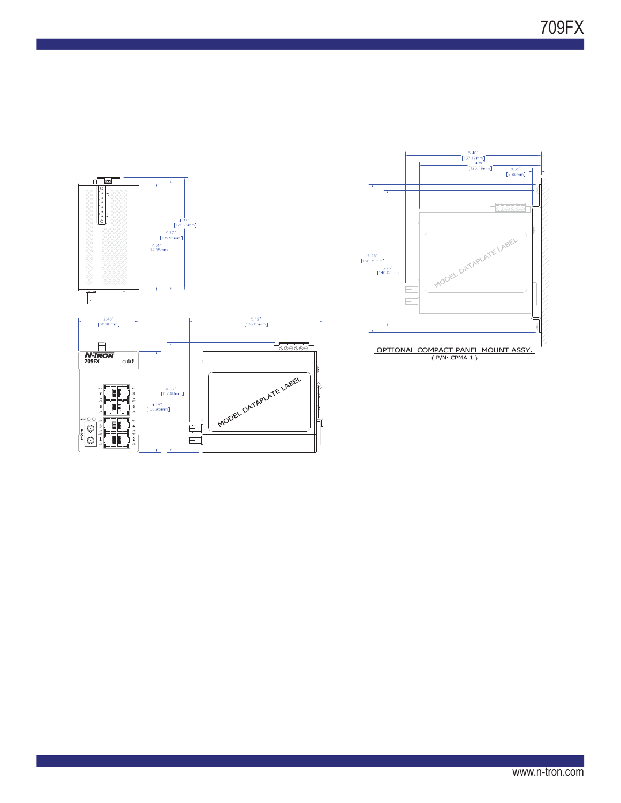



www.n-tron.com